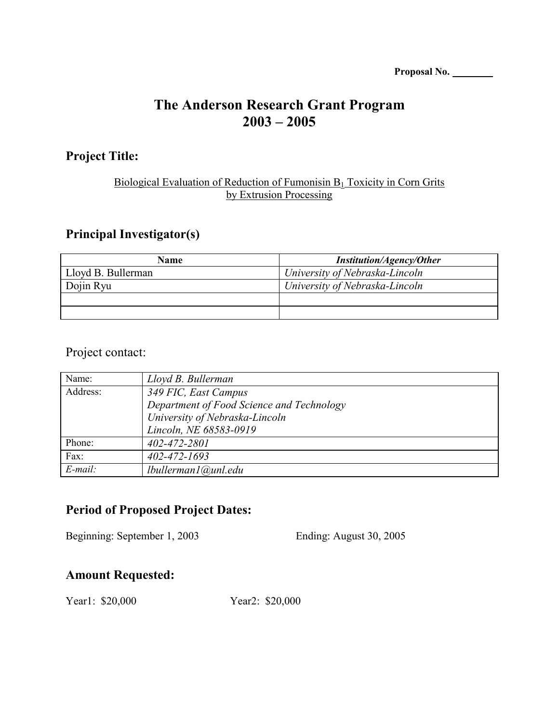| Proposal No. |  |
|--------------|--|
|              |  |

# **The Anderson Research Grant Program 2003 – 2005**

#### **Project Title:**

#### Biological Evaluation of Reduction of Fumonisin  $B_1$  Toxicity in Corn Grits by Extrusion Processing

### **Principal Investigator(s)**

| Name               | <b>Institution/Agency/Other</b> |
|--------------------|---------------------------------|
| Lloyd B. Bullerman | University of Nebraska-Lincoln  |
| Dojin Ryu          | University of Nebraska-Lincoln  |
|                    |                                 |
|                    |                                 |

#### Project contact:

| Name:      | Lloyd B. Bullerman                        |
|------------|-------------------------------------------|
| Address:   | 349 FIC, East Campus                      |
|            | Department of Food Science and Technology |
|            | University of Nebraska-Lincoln            |
|            | Lincoln, NE 68583-0919                    |
| Phone:     | 402-472-2801                              |
| Fax:       | $402 - 472 - 1693$                        |
| $E$ -mail: | lbullerman1@unl.edu                       |

## **Period of Proposed Project Dates:**

Beginning: September 1, 2003 Ending: August 30, 2005

#### **Amount Requested:**

Year1: \$20,000 Year2: \$20,000